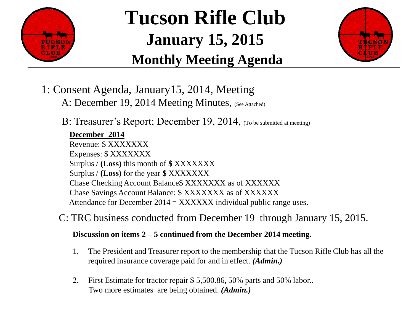

# **Tucson Rifle Club January 15, 2015 Monthly Meeting Agenda**



- 1: Consent Agenda, January15, 2014, Meeting
	- A: December 19, 2014 Meeting Minutes, (See Attached)
	- B: Treasurer's Report; December 19, 2014, (To be submitted at meeting)

#### **December 2014**

Revenue: \$ XXXXXXX Expenses: \$ XXXXXXX Surplus / **(Loss)** this month of **\$** XXXXXXX Surplus / **(Loss)** for the year **\$** XXXXXXX Chase Checking Account Balance\$ XXXXXXX as of XXXXXX Chase Savings Account Balance: \$ XXXXXXX as of XXXXXX Attendance for December  $2014 = XXXXXX$  individual public range uses.

C: TRC business conducted from December 19 through January 15, 2015.

#### **Discussion on items 2 – 5 continued from the December 2014 meeting.**

- 1. The President and Treasurer report to the membership that the Tucson Rifle Club has all the required insurance coverage paid for and in effect. *(Admin.)*
- 2. First Estimate for tractor repair \$ 5,500.86, 50% parts and 50% labor.. Two more estimates are being obtained. *(Admin.)*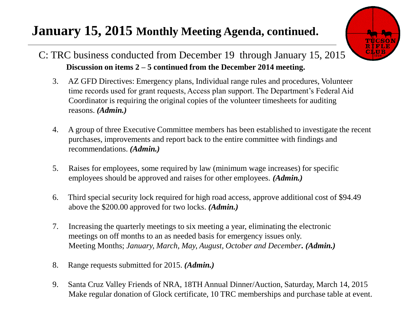# **January 15, 2015 Monthly Meeting Agenda, continued.**



#### C: TRC business conducted from December 19 through January 15, 2015. **Discussion on items 2 – 5 continued from the December 2014 meeting.**

- 3. AZ GFD Directives: Emergency plans, Individual range rules and procedures, Volunteer time records used for grant requests, Access plan support. The Department's Federal Aid Coordinator is requiring the original copies of the volunteer timesheets for auditing reasons. *(Admin.)*
- 4. A group of three Executive Committee members has been established to investigate the recent purchases, improvements and report back to the entire committee with findings and recommendations. *(Admin.)*
- 5. Raises for employees, some required by law (minimum wage increases) for specific employees should be approved and raises for other employees. *(Admin.)*
- 6. Third special security lock required for high road access, approve additional cost of \$94.49 above the \$200.00 approved for two locks. *(Admin.)*
- 7. Increasing the quarterly meetings to six meeting a year, eliminating the electronic meetings on off months to an as needed basis for emergency issues only. Meeting Months; *January, March, May, August, October and December. (Admin.)*
- 8. Range requests submitted for 2015. *(Admin.)*
- 9. Santa Cruz Valley Friends of NRA, 18TH Annual Dinner/Auction, Saturday, March 14, 2015 Make regular donation of Glock certificate, 10 TRC memberships and purchase table at event.